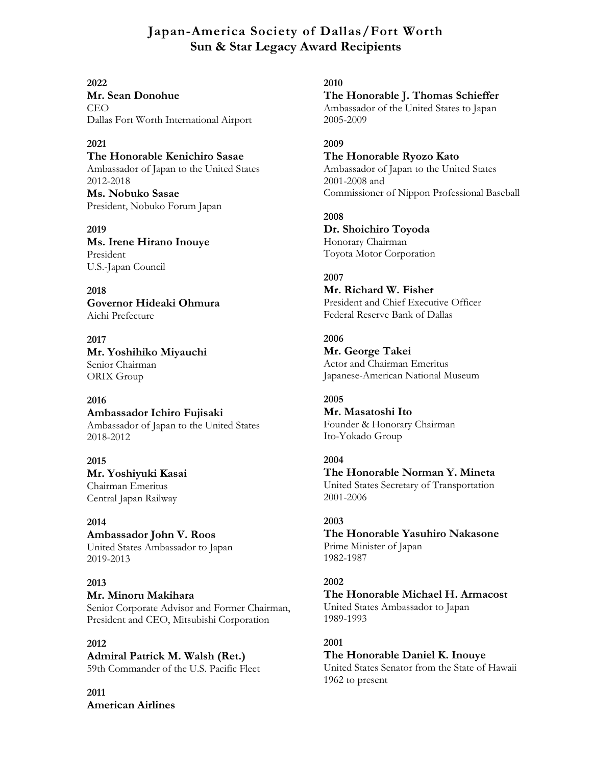# **Japan-America Society of Dallas/Fort Worth Sun & Star Legacy Award Recipients**

**2022 Mr. Sean Donohue** CEO Dallas Fort Worth International Airport

### **2021**

**The Honorable Kenichiro Sasae** Ambassador of Japan to the United States 2012-2018 **Ms. Nobuko Sasae** President, Nobuko Forum Japan

**2019 Ms. Irene Hirano Inouye** President U.S.-Japan Council

**2018 Governor Hideaki Ohmura** Aichi Prefecture

**2017 Mr. Yoshihiko Miyauchi** Senior Chairman ORIX Group

### **2016**

**Ambassador Ichiro Fujisaki** Ambassador of Japan to the United States 2018-2012

**2015 Mr. Yoshiyuki Kasai** Chairman Emeritus Central Japan Railway

**2014 Ambassador John V. Roos** United States Ambassador to Japan 2019-2013

### **2013 Mr. Minoru Makihara** Senior Corporate Advisor and Former Chairman, President and CEO, Mitsubishi Corporation

**2012 Admiral Patrick M. Walsh (Ret.)** 59th Commander of the U.S. Pacific Fleet

**2011 American Airlines**

#### **2010**

**The Honorable J. Thomas Schieffer** Ambassador of the United States to Japan 2005-2009

**2009**

**The Honorable Ryozo Kato** Ambassador of Japan to the United States 2001-2008 and Commissioner of Nippon Professional Baseball

**2008 Dr. Shoichiro Toyoda** Honorary Chairman Toyota Motor Corporation

### **2007**

**Mr. Richard W. Fisher** President and Chief Executive Officer Federal Reserve Bank of Dallas

**2006 Mr. George Takei** Actor and Chairman Emeritus Japanese-American National Museum

**2005 Mr. Masatoshi Ito** Founder & Honorary Chairman Ito-Yokado Group

**2004 The Honorable Norman Y. Mineta** United States Secretary of Transportation 2001-2006

**2003 The Honorable Yasuhiro Nakasone** Prime Minister of Japan 1982-1987

# **2002**

**The Honorable Michael H. Armacost** United States Ambassador to Japan 1989-1993

**2001 The Honorable Daniel K. Inouye** United States Senator from the State of Hawaii 1962 to present